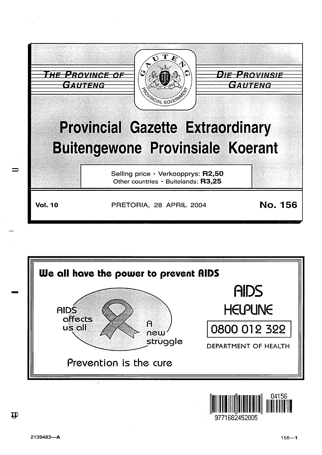



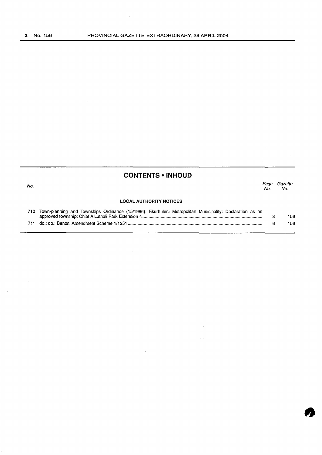$\bar{\beta}$ 

No.

## **CONTENTS • INHOUD**

*Page Gazette*  No. No.

## **LOCAL AUTHORITY NOTICES**

 $\mathcal{L}$ 

| 710 Town-planning and Townships Ordinance (15/1986): Ekurhuleni Metropolitan Municipality: Declaration as an |     |
|--------------------------------------------------------------------------------------------------------------|-----|
|                                                                                                              | 156 |
|                                                                                                              | 156 |
|                                                                                                              |     |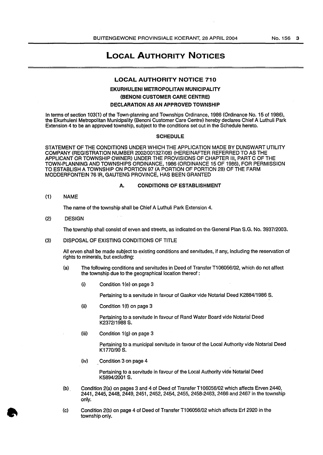# LOCAL AUTHORITY NOTICES

### LOCAL AUTHORITY NOTICE 710

## EKURHULENI METROPOLITAN MUNICIPALITY (BENONI CUSTOMER CARE CENTRE) DECLARATION AS AN APPROVED TOWNSHIP

In terms of section 103(1) of the Town-planning and Townships Ordinance, 1986 (Ordinance No. 15 of 1986), the Ekurhuleni Metropolitan Municipality (Benoni Customer Care Centre) hereby declares Chief A Luthuli Park Extension 4 to be an approved township, subject to the conditions set out in the Schedule hereto.

#### **SCHEDULE**

STATEMENT OF THE CONDITIONS UNDER WHICH THE APPLICATION MADE BY DUNSWART UTILITY COMPANY (REGISTRATION NUMBER 2002/001327/08) (HEREINAFTER REFERRED TO AS THE APPLICANT OR TOWNSHIP OWNER) UNDER THE PROVISIONS OF CHAPTER Ill, PART C OF THE TOWN-PLANNING AND TOWNSHIPS ORDINANCE, 1986 (ORDINANCE 15 OF 1986), FOR PERMISSION TO ESTABLISH A TOWNSHIP ON PORTION 97 (A PORTION OF PORTION 28) OF THE FARM MODDERFONTEIN 76 IR, GAUTENG PROVINCE, HAS BEEN GRANTED

#### A. CONDITIONS OF ESTABLISHMENT

(1) NAME

The name of the township shall be Chief A Luthuli Park Extension 4.

(2) DESIGN

The township shall consist of erven and streets, as indicated on the General Plan S.G. No. 3937/2003.

(3) DISPOSAL OF EXISTING CONDITIONS OF TITLE

All erven shall be made subject to existing conditions and servitudes, if any, including the reservation of rights to minerals, but excluding:

- (a) The following conditions and servitudes in Deed of Transfer T1 06056/02, which do not affect the township due to the geographical location thereof :
	- (i) Condition 1 (e) on page 3

Pertaining to a servitude in favour of Gaskor vide Notarial Deed K2884/1986 S.

 $(ii)$  Condition 1 $(f)$  on page 3

Pertaining to a servitude in favour of Rand Water Board vide Notarial Deed K2372/1988 S.

 $(iii)$  Condition  $1(q)$  on page 3

Pertaining to a municipal servitude in favour of the Local Authority vide Notarial Deed K1770/90 S.

(iv) Condition 3 on page 4

Pertaining to a servitude in favour of the Local Authority vide Notarial Deed K5894/2001 S.

- (b) . Condition 2(a) on pages 3 and 4 of Deed of Transfer T1 06056/02 which affects Erven 2440, 2441, 2445, 2448, 2449, 2451, 2452, 2454, 2455, 2458-2463, 2466 and 2467 in the township only.
- {c) Condition 2(b) on page 4 of Deed of Transfer T1 06056/02 which affects Erf 2920 in the township only.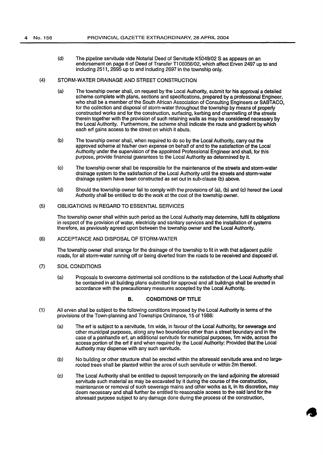(d) The pipeline servitude vide Notarial Deed of Servitude K5049/02 S as appears on an endorsement on page 6 of Deed of Transfer T1 06056/02, which affect Erven 2497 up to and including 2511, 2695 up to and including 2697 in the township only.

#### (4) STORM-WATER DRAINAGE AND STREET CONSTRUCTION

- (a) The township owner shall, on request by the Local Authority, submit for his approval a detailed scheme complete with plans, sections and specifications, prepared by a professional Engineer, who shall be a member of the South African Association of Consulting Engineers or SABTACO, for the collection and disposal of storm-water throughout the township by means of properly constructed works and for the construction, surfacing, kerbing and channelling of the streets therein together with the provision of such retaining walls as may be considered necessary by the Local Authority. Furthermore, the scheme shall indicate the route and gradient by which each erf gains access to the street on which it abuts.
- (b) The township owner shall, when required to do so by the Local Authority, carry out the approved scheme at his/her own expense on behalf of and to the satisfaction of the Local Authority under the supervision of the appointed Professional Engineer and shall, for this purpose, provide financial guarantees to the Local Authority as determined by it.
- (c) The township owner shall be responsible for the maintenance of the streets and storm-water drainage system to the satisfaction of the Local Authority until the streets and storm-water drainage system have been constructed as set out in sub-clause (b) above.
- (d) Should the township owner fail to comply with the provisions of (a), (b) and (c) hereof the Local Authority shall be entitled to do the work at the cost of the township owner.

## (5) OBLIGATIONS IN REGARD TO ESSENTIAL SERVICES

The township owner shall within such period as the Local Authority may determine, fulfil its obligations in respect of the provision of water, electricity and sanitary services and the installation of systems therefore, as previously agreed upon between the township owner and the Local Authority.

#### (6) ACCEPTANCE AND DISPOSAL OF STORM-WATER

The township owner shall arrange for the drainage of the township to fit in with that adjacent public roads, for all storm-water running off or being diverted from the roads to be received and disposed of.

## (7) SOIL CONDITIONS

(a) Proposals to overcome detrimental soil conditions to the satisfaction of the Local Authority shall be contained in all building plans submitted for approval and all buildings shall be erected in accordance with the precautionary measures accepted by the Local Authority.

#### B. CONDITIONS OF TITLE

- (1) All erven shall be subject to the following conditions imposed by the Local Authority in terms of the provisions of the Town-planning and Townships Ordinance, 15 of 1986:
	- (a) The erf is subject to a servitude, 1m wide, in favour of the Local Authority, for sewerage and other municipal purposes, along any two boundaries other than a street boundary and in the case of a panhandle erf, an additional servitude for municipal purposes, 1m wide, across the access portion of the erf if and when required by the Local Authority: Provided that the Local Authority may dispense with any such servitude.
	- (b) No building or other structure shall be erected within the aforesaid servitude area and no largerooted trees shall be planted within the area of such servitude or within 2m thereof.
	- (c) The Local Authority shall be entitled to deposit temporarily on the land adjoining the aforesaid servitude such material as may be excavated by it during the course of the construction, maintenance or removal of such sewerage mains and other works as it, in its discretion, may deem necessary and shall further be entitled to reasonable access to the said land for the aforesaid purpose subject to any damage done during the process of the construction,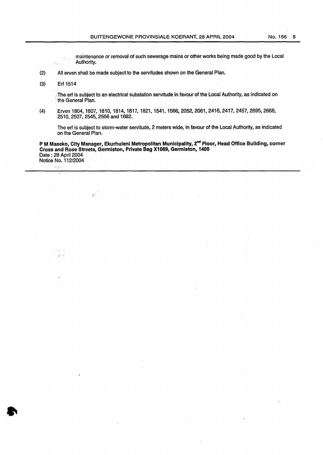maintenance or removal of such sewerage mains or other works being made good by the Local Authority.

- (2) All erven shall be made subject to the servitudes shown on the General Plan.
- (3) Erf 1514

 $\mathcal{O}_{\mathcal{A}}$  $\ddot{\phantom{a}}$ 

 $\sim 0.72$ ي جي.

K.

 $\frac{1}{2}$  .  $\frac{1}{2}$  (  $\frac{1}{2}$  ).

I"

.The erf is subject to an electrical substation servitude in favour of the Local Authority, as indicated on · the General Plan.

(4) Erven 1804, 1807, 1810, 1814, 1817, 1821, 1541, 1566, 2052,2061,2416,2417, 2457, 2695, 2668, 2510, 2507, 2545,2556 and 1682.

The erf is subject to storm-water servitude, 2 meters wide, in favour of the Local Authority, as indicated on the General Plan.

P M Maseko, City Manager, Ekurhuleni Metropolitan Municipality, 2<sup>nd</sup> Floor, Head Office Building, corner Cross and Rose Streets, Germiston, Private Bag X1069, Germiston, 1400 Date : 28 April 2004 Notice No. 112/2004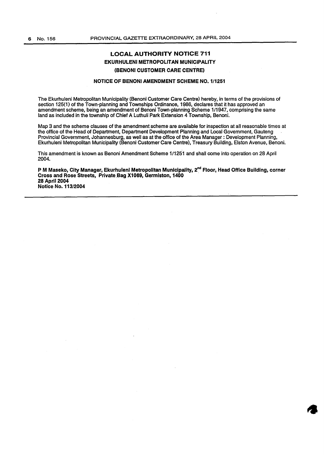## LOCAL AUTHORITY NOTICE 711 EKURHULENI METROPOLITAN MUNICIPALITY (BENONI CUSTOMER CARE CENTRE)

#### NOTICE OF BENONI AMENDMENT SCHEME NO. 1/1251

The Ekurhuleni Metropolitan Municipality (Benoni Customer Care Centre) hereby, in terms of the provisions of section 125(1} of the Town-planning and Townships Ordinance, 1986, declares that it has approved an amendment scheme, being an amendment of Benoni Town-planning Scheme 1/1947, comprising the same land as included in the township of Chief A Luthuli Park Extension 4 Township, Benoni.

Map 3 and the scheme clauses of the amendment scheme are available for inspection at all reasonable times at the office of the Head of Department, Department Development Planning and Local Government, Gauteng Provincial Government, Johannesburg, as well as at the office of the Area Manager : Development Planning, Ekurhuleni Metropolitan Municipality (Benoni Customer Care Centre), Treasury Building, Elston Avenue, Benoni.

This amendment is known as Benoni Amendment Scheme 1/1251 and shall come into operation on 28 April 2004.

PM Maseko, City Manager, Ekurhuleni Metropolitan Municipality, 2<sup>nd</sup> Floor, Head Office Building, corner Cross and Rose Streets, Private.Bag X1069, Germiston, 1400 28 April 2004 Notice No. 113/2004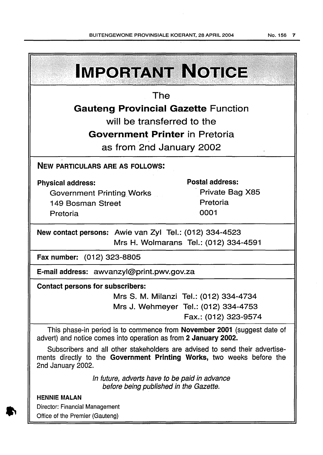**IMPORTANT NOTICE** The Gauteng Provincial Gazette Function will be transferred to the Government Printer in Pretoria as from 2nd January 2002 NEW PARTICULARS ARE AS FOLLOWS: Postal address: Private Bag X85 Government Printing\_ Works Pretoria 149 Bosman Street 0001 New contact persons: Awie van Zyl Tel.: (012) 334-4523 Mrs H. Wolmarans Tel.: (012) 334-4591 Fax number: (012) 323-8805 E-mail address: awvanzyl@print.pwv.gov.za Contact persons for subscribers:

Mrs S. M. Milanzi Tel.: (012) 334-4734 Mrs J. Wehmeyer Tel.: (012) 334-4753 Fax.: (012) 323-9574

This phase-in period is to commence from **November 2001** (suggest date of advert) and notice comes into operation as from 2 January 2002.

Subscribers and all other stakeholders are advised to send their advertisements directly to the Government Printing Works, two weeks before the 2nd January 2002.

> In future, adverts have to be paid in advance before being published in the Gazette.

HENNIE MALAN Director: Financial Management Office of the Premier (Gauteng)

Physical address:

Pretoria